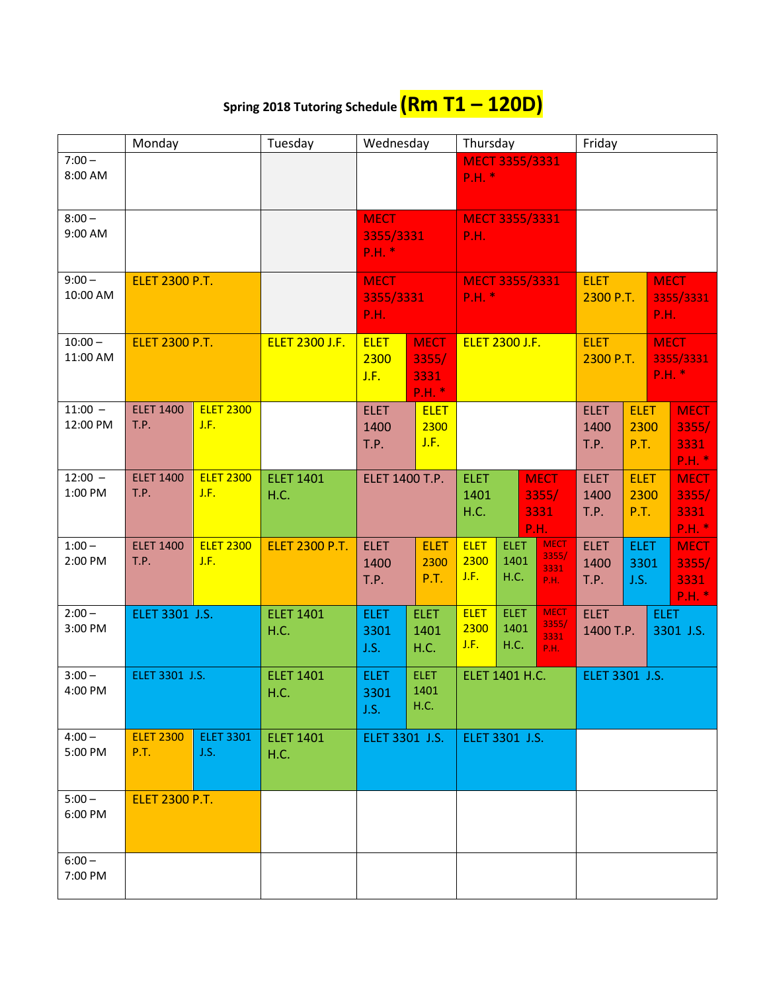## **Spring 2018 Tutoring Schedule (Rm T1 – 120D)**

|                       | Monday                   |                          | Tuesday                  | Wednesday                               |                                          | Thursday                                                            |                             | Friday                                      |                                                                |                             |                                                |                                        |
|-----------------------|--------------------------|--------------------------|--------------------------|-----------------------------------------|------------------------------------------|---------------------------------------------------------------------|-----------------------------|---------------------------------------------|----------------------------------------------------------------|-----------------------------|------------------------------------------------|----------------------------------------|
| $7:00 -$<br>8:00 AM   |                          |                          |                          |                                         | <b>MECT 3355/3331</b><br>P.H. *          |                                                                     |                             |                                             |                                                                |                             |                                                |                                        |
| $8:00 -$<br>9:00 AM   |                          |                          |                          | <b>MECT</b><br>3355/3331<br>P.H. *      |                                          | <b>MECT 3355/3331</b><br><b>P.H.</b>                                |                             |                                             |                                                                |                             |                                                |                                        |
| $9:00 -$<br>10:00 AM  | <b>ELET 2300 P.T.</b>    |                          |                          | <b>MECT</b><br>3355/3331<br><b>P.H.</b> |                                          | <b>MECT 3355/3331</b><br>$P.H.$ *                                   |                             |                                             | <b>ELET</b><br>2300 P.T.                                       |                             | <b>MECT</b><br>3355/3331<br>P.H.               |                                        |
| $10:00 -$<br>11:00 AM | <b>ELET 2300 P.T.</b>    |                          | <b>ELET 2300 J.F.</b>    | <b>ELET</b><br>2300<br>J.F.             | <b>MECT</b><br>3355/<br>3331<br>$P.H.$ * | <b>ELET 2300 J.F.</b>                                               |                             |                                             | <b>ELET</b><br><b>MECT</b><br>3355/3331<br>2300 P.T.<br>P.H. * |                             |                                                |                                        |
| $11:00 -$<br>12:00 PM | <b>ELET 1400</b><br>T.P. | <b>ELET 2300</b><br>J.F. |                          | <b>ELET</b><br>1400<br>T.P.             | <b>ELET</b><br>2300<br>J.F.              |                                                                     |                             |                                             | <b>ELET</b><br>1400<br>T.P.                                    | <b>ELET</b><br>2300<br>P.T. |                                                | <b>MECT</b><br>3355/<br>3331<br>P.H. * |
| $12:00 -$<br>1:00 PM  | <b>ELET 1400</b><br>T.P. | <b>ELET 2300</b><br>J.F. | <b>ELET 1401</b><br>H.C. | ELET 1400 T.P.                          |                                          | <b>ELET</b><br><b>MECT</b><br>1401<br>3355/<br>3331<br>H.C.<br>P.H. |                             |                                             | <b>ELET</b><br>1400<br>T.P.                                    | <b>ELET</b><br>P.T.         | <b>MECT</b><br>3355/<br>2300<br>3331<br>P.H. * |                                        |
| $1:00 -$<br>2:00 PM   | <b>ELET 1400</b><br>T.P. | <b>ELET 2300</b><br>J.F. | <b>ELET 2300 P.T.</b>    | <b>ELET</b><br>1400<br>T.P.             | <b>ELET</b><br>2300<br>P.T.              | <b>ELET</b><br>2300<br>J.F.                                         | <b>ELET</b><br>1401<br>H.C. | <b>MECT</b><br>3355/<br>3331<br>P.H.        | <b>ELET</b><br>1400<br>T.P.                                    | <b>ELET</b><br>3301<br>J.S. |                                                | <b>MECT</b><br>3355/<br>3331<br>P.H. * |
| $2:00 -$<br>3:00 PM   | ELET 3301 J.S.           |                          | <b>ELET 1401</b><br>H.C. | <b>ELET</b><br>3301<br>J.S.             | <b>ELET</b><br>1401<br>H.C.              | <b>ELET</b><br>2300<br>J.F.                                         | <b>ELET</b><br>1401<br>H.C. | <b>MECT</b><br>3355/<br>3331<br><b>P.H.</b> | <b>ELET</b><br>1400 T.P.                                       |                             | <b>ELET</b>                                    | 3301 J.S.                              |
| $3:00 -$<br>4:00 PM   | ELET 3301 J.S.           |                          | <b>ELET 1401</b><br>H.C. | <b>ELET</b><br>3301<br>J.S.             | <b>ELET</b><br>1401<br>H.C.              | ELET 1401 H.C.                                                      |                             |                                             | ELET 3301 J.S.                                                 |                             |                                                |                                        |
| $4:00 -$<br>5:00 PM   | <b>ELET 2300</b><br>P.T. | <b>ELET 3301</b><br>J.S. | <b>ELET 1401</b><br>H.C. | ELET 3301 J.S.                          |                                          | ELET 3301 J.S.                                                      |                             |                                             |                                                                |                             |                                                |                                        |
| $5:00 -$<br>6:00 PM   | <b>ELET 2300 P.T.</b>    |                          |                          |                                         |                                          |                                                                     |                             |                                             |                                                                |                             |                                                |                                        |
| $6:00 -$<br>7:00 PM   |                          |                          |                          |                                         |                                          |                                                                     |                             |                                             |                                                                |                             |                                                |                                        |